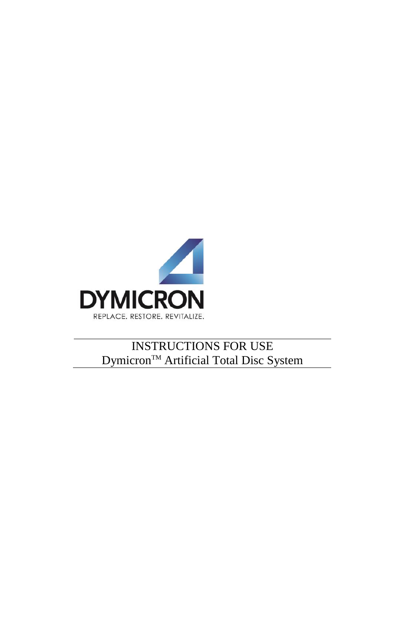

## INSTRUCTIONS FOR USE Dymicron<sup>™</sup> Artificial Total Disc System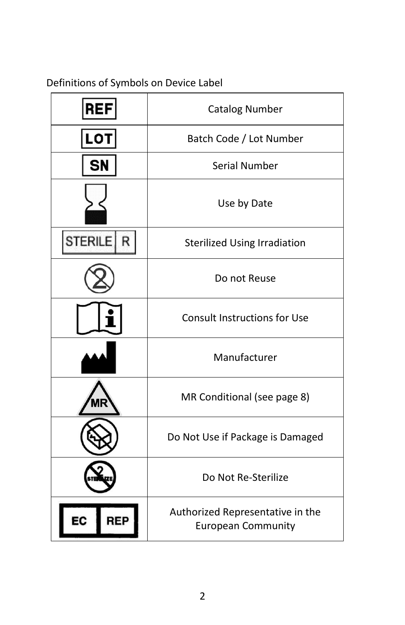### Definitions of Symbols on Device Label

| <b>REF</b>   | <b>Catalog Number</b>                                         |  |
|--------------|---------------------------------------------------------------|--|
| <b>LOT</b>   | Batch Code / Lot Number                                       |  |
| <b>SN</b>    | <b>Serial Number</b>                                          |  |
|              | Use by Date                                                   |  |
| STERILE<br>R | <b>Sterilized Using Irradiation</b>                           |  |
|              | Do not Reuse                                                  |  |
|              | <b>Consult Instructions for Use</b>                           |  |
|              | Manufacturer                                                  |  |
|              | MR Conditional (see page 8)                                   |  |
|              | Do Not Use if Package is Damaged                              |  |
|              | Do Not Re-Sterilize                                           |  |
| <b>REP</b>   | Authorized Representative in the<br><b>European Community</b> |  |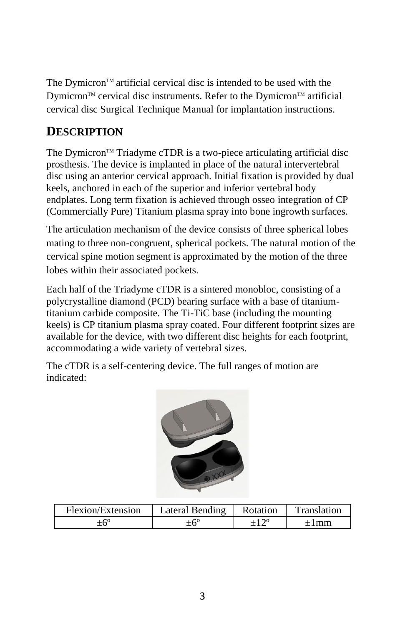The Dymicron<sup> $TM$ </sup> artificial cervical disc is intended to be used with the Dymicron<sup>TM</sup> cervical disc instruments. Refer to the Dymicron<sup>TM</sup> artificial cervical disc Surgical Technique Manual for implantation instructions.

### **DESCRIPTION**

The Dymicron<sup> $TM$ </sup> Triadyme cTDR is a two-piece articulating artificial disc prosthesis. The device is implanted in place of the natural intervertebral disc using an anterior cervical approach. Initial fixation is provided by dual keels, anchored in each of the superior and inferior vertebral body endplates. Long term fixation is achieved through osseo integration of CP (Commercially Pure) Titanium plasma spray into bone ingrowth surfaces.

The articulation mechanism of the device consists of three spherical lobes mating to three non-congruent, spherical pockets. The natural motion of the cervical spine motion segment is approximated by the motion of the three lobes within their associated pockets.

Each half of the Triadyme cTDR is a sintered monobloc, consisting of a polycrystalline diamond (PCD) bearing surface with a base of titaniumtitanium carbide composite. The Ti-TiC base (including the mounting keels) is CP titanium plasma spray coated. Four different footprint sizes are available for the device, with two different disc heights for each footprint, accommodating a wide variety of vertebral sizes.

The cTDR is a self-centering device. The full ranges of motion are indicated:



| Flexion/Extension | Lateral Bending | Rotation | Translation |
|-------------------|-----------------|----------|-------------|
|                   |                 |          | I mm        |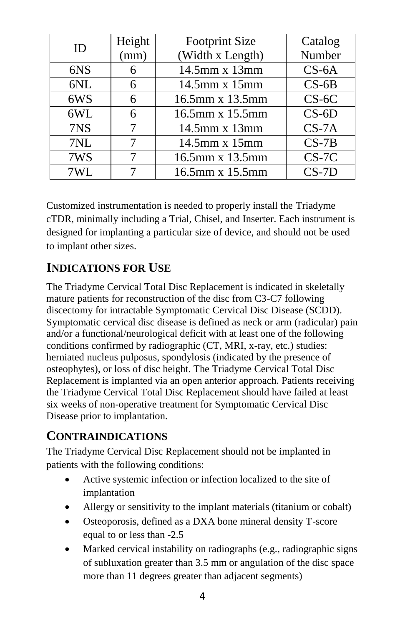| ID  | Height | <b>Footprint Size</b> | Catalog |
|-----|--------|-----------------------|---------|
|     | (mm)   | (Width x Length)      | Number  |
| 6NS | 6      | 14.5mm x 13mm         | $CS-6A$ |
| 6NL | 6      | 14.5mm x 15mm         | $CS-6B$ |
| 6WS | 6      | 16.5mm x 13.5mm       | $CS-6C$ |
| 6WL | 6      | 16.5mm x 15.5mm       | $CS-6D$ |
| 7NS | 7      | 14.5mm x 13mm         | $CS-7A$ |
| 7NL | 7      | 14.5mm x 15mm         | $CS-7B$ |
| 7WS | 7      | 16.5mm x 13.5mm       | $CS-7C$ |
| 7WL |        | 16.5mm x 15.5mm       | $CS-7D$ |

Customized instrumentation is needed to properly install the Triadyme cTDR, minimally including a Trial, Chisel, and Inserter. Each instrument is designed for implanting a particular size of device, and should not be used to implant other sizes.

### **INDICATIONS FOR USE**

The Triadyme Cervical Total Disc Replacement is indicated in skeletally mature patients for reconstruction of the disc from C3-C7 following discectomy for intractable Symptomatic Cervical Disc Disease (SCDD). Symptomatic cervical disc disease is defined as neck or arm (radicular) pain and/or a functional/neurological deficit with at least one of the following conditions confirmed by radiographic (CT, MRI, x-ray, etc.) studies: herniated nucleus pulposus, spondylosis (indicated by the presence of osteophytes), or loss of disc height. The Triadyme Cervical Total Disc Replacement is implanted via an open anterior approach. Patients receiving the Triadyme Cervical Total Disc Replacement should have failed at least six weeks of non-operative treatment for Symptomatic Cervical Disc Disease prior to implantation.

#### **CONTRAINDICATIONS**

The Triadyme Cervical Disc Replacement should not be implanted in patients with the following conditions:

- Active systemic infection or infection localized to the site of implantation
- Allergy or sensitivity to the implant materials (titanium or cobalt)
- Osteoporosis, defined as a DXA bone mineral density T-score equal to or less than -2.5
- Marked cervical instability on radiographs (e.g., radiographic signs) of subluxation greater than 3.5 mm or angulation of the disc space more than 11 degrees greater than adjacent segments)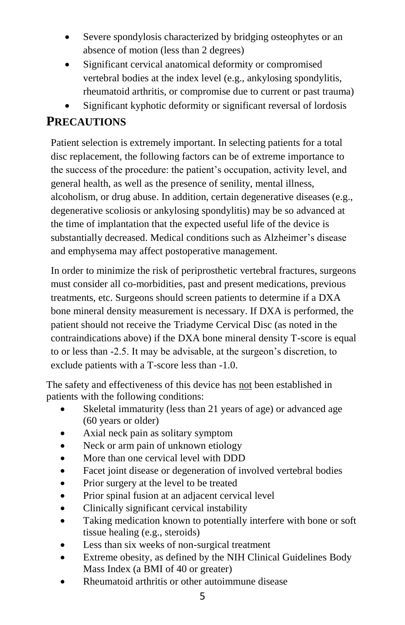- Severe spondylosis characterized by bridging osteophytes or an absence of motion (less than 2 degrees)
- Significant cervical anatomical deformity or compromised vertebral bodies at the index level (e.g., ankylosing spondylitis, rheumatoid arthritis, or compromise due to current or past trauma)
- Significant kyphotic deformity or significant reversal of lordosis

# **PRECAUTIONS**

Patient selection is extremely important. In selecting patients for a total disc replacement, the following factors can be of extreme importance to the success of the procedure: the patient's occupation, activity level, and general health, as well as the presence of senility, mental illness, alcoholism, or drug abuse. In addition, certain degenerative diseases (e.g., degenerative scoliosis or ankylosing spondylitis) may be so advanced at the time of implantation that the expected useful life of the device is substantially decreased. Medical conditions such as Alzheimer's disease and emphysema may affect postoperative management.

In order to minimize the risk of periprosthetic vertebral fractures, surgeons must consider all co-morbidities, past and present medications, previous treatments, etc. Surgeons should screen patients to determine if a DXA bone mineral density measurement is necessary. If DXA is performed, the patient should not receive the Triadyme Cervical Disc (as noted in the contraindications above) if the DXA bone mineral density T-score is equal to or less than -2.5. It may be advisable, at the surgeon's discretion, to exclude patients with a T-score less than -1.0.

The safety and effectiveness of this device has not been established in patients with the following conditions:

- Skeletal immaturity (less than 21 years of age) or advanced age (60 years or older)
- Axial neck pain as solitary symptom
- Neck or arm pain of unknown etiology
- More than one cervical level with DDD
- Facet joint disease or degeneration of involved vertebral bodies
- Prior surgery at the level to be treated
- Prior spinal fusion at an adjacent cervical level
- Clinically significant cervical instability
- Taking medication known to potentially interfere with bone or soft tissue healing (e.g., steroids)
- Less than six weeks of non-surgical treatment
- Extreme obesity, as defined by the NIH Clinical Guidelines Body Mass Index (a BMI of 40 or greater)
- Rheumatoid arthritis or other autoimmune disease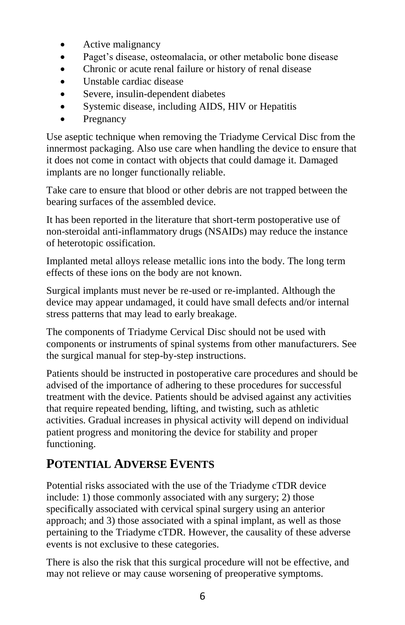- Active malignancy
- Paget's disease, osteomalacia, or other metabolic bone disease
- Chronic or acute renal failure or history of renal disease
- Unstable cardiac disease
- Severe, insulin-dependent diabetes
- Systemic disease, including AIDS, HIV or Hepatitis
- Pregnancy

Use aseptic technique when removing the Triadyme Cervical Disc from the innermost packaging. Also use care when handling the device to ensure that it does not come in contact with objects that could damage it. Damaged implants are no longer functionally reliable.

Take care to ensure that blood or other debris are not trapped between the bearing surfaces of the assembled device.

It has been reported in the literature that short-term postoperative use of non-steroidal anti-inflammatory drugs (NSAIDs) may reduce the instance of heterotopic ossification.

Implanted metal alloys release metallic ions into the body. The long term effects of these ions on the body are not known.

Surgical implants must never be re-used or re-implanted. Although the device may appear undamaged, it could have small defects and/or internal stress patterns that may lead to early breakage.

The components of Triadyme Cervical Disc should not be used with components or instruments of spinal systems from other manufacturers. See the surgical manual for step-by-step instructions.

Patients should be instructed in postoperative care procedures and should be advised of the importance of adhering to these procedures for successful treatment with the device. Patients should be advised against any activities that require repeated bending, lifting, and twisting, such as athletic activities. Gradual increases in physical activity will depend on individual patient progress and monitoring the device for stability and proper functioning.

# **POTENTIAL ADVERSE EVENTS**

Potential risks associated with the use of the Triadyme cTDR device include: 1) those commonly associated with any surgery; 2) those specifically associated with cervical spinal surgery using an anterior approach; and 3) those associated with a spinal implant, as well as those pertaining to the Triadyme cTDR. However, the causality of these adverse events is not exclusive to these categories.

There is also the risk that this surgical procedure will not be effective, and may not relieve or may cause worsening of preoperative symptoms.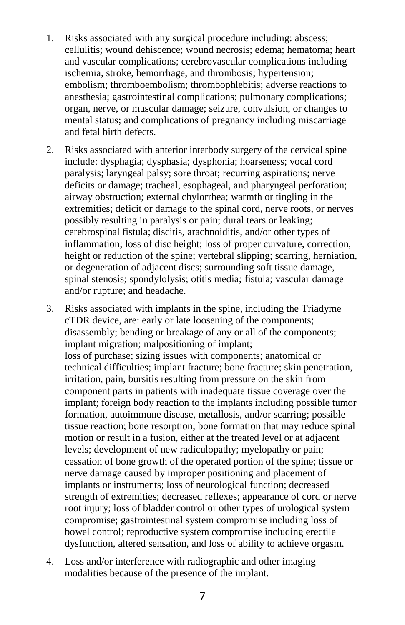- 1. Risks associated with any surgical procedure including: abscess; cellulitis; wound dehiscence; wound necrosis; edema; hematoma; heart and vascular complications; cerebrovascular complications including ischemia, stroke, hemorrhage, and thrombosis; hypertension; embolism; thromboembolism; thrombophlebitis; adverse reactions to anesthesia; gastrointestinal complications; pulmonary complications; organ, nerve, or muscular damage; seizure, convulsion, or changes to mental status; and complications of pregnancy including miscarriage and fetal birth defects.
- 2. Risks associated with anterior interbody surgery of the cervical spine include: dysphagia; dysphasia; dysphonia; hoarseness; vocal cord paralysis; laryngeal palsy; sore throat; recurring aspirations; nerve deficits or damage; tracheal, esophageal, and pharyngeal perforation; airway obstruction; external chylorrhea; warmth or tingling in the extremities; deficit or damage to the spinal cord, nerve roots, or nerves possibly resulting in paralysis or pain; dural tears or leaking; cerebrospinal fistula; discitis, arachnoiditis, and/or other types of inflammation; loss of disc height; loss of proper curvature, correction, height or reduction of the spine; vertebral slipping; scarring, herniation, or degeneration of adjacent discs; surrounding soft tissue damage, spinal stenosis; spondylolysis; otitis media; fistula; vascular damage and/or rupture; and headache.
- 3. Risks associated with implants in the spine, including the Triadyme cTDR device, are: early or late loosening of the components; disassembly; bending or breakage of any or all of the components; implant migration; malpositioning of implant; loss of purchase; sizing issues with components; anatomical or technical difficulties; implant fracture; bone fracture; skin penetration, irritation, pain, bursitis resulting from pressure on the skin from component parts in patients with inadequate tissue coverage over the implant; foreign body reaction to the implants including possible tumor formation, autoimmune disease, metallosis, and/or scarring; possible tissue reaction; bone resorption; bone formation that may reduce spinal motion or result in a fusion, either at the treated level or at adjacent levels; development of new radiculopathy; myelopathy or pain; cessation of bone growth of the operated portion of the spine; tissue or nerve damage caused by improper positioning and placement of implants or instruments; loss of neurological function; decreased strength of extremities; decreased reflexes; appearance of cord or nerve root injury; loss of bladder control or other types of urological system compromise; gastrointestinal system compromise including loss of bowel control; reproductive system compromise including erectile dysfunction, altered sensation, and loss of ability to achieve orgasm.
- 4. Loss and/or interference with radiographic and other imaging modalities because of the presence of the implant.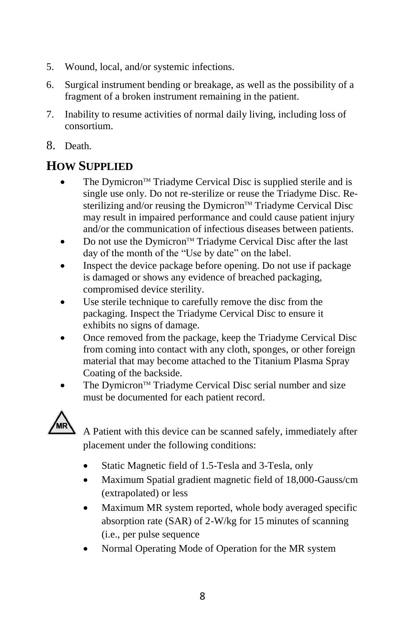- 5. Wound, local, and/or systemic infections.
- 6. Surgical instrument bending or breakage, as well as the possibility of a fragment of a broken instrument remaining in the patient.
- 7. Inability to resume activities of normal daily living, including loss of consortium.
- 8. Death.

# **HOW SUPPLIED**

- The Dymicron<sup>™</sup> Triadyme Cervical Disc is supplied sterile and is single use only. Do not re-sterilize or reuse the Triadyme Disc. Resterilizing and/or reusing the Dymicron™ Triadyme Cervical Disc may result in impaired performance and could cause patient injury and/or the communication of infectious diseases between patients.
- $\bullet$  Do not use the Dymicron<sup>TM</sup> Triadyme Cervical Disc after the last day of the month of the "Use by date" on the label.
- Inspect the device package before opening. Do not use if package is damaged or shows any evidence of breached packaging, compromised device sterility.
- Use sterile technique to carefully remove the disc from the packaging. Inspect the Triadyme Cervical Disc to ensure it exhibits no signs of damage.
- Once removed from the package, keep the Triadyme Cervical Disc from coming into contact with any cloth, sponges, or other foreign material that may become attached to the Titanium Plasma Spray Coating of the backside.
- The Dymicron<sup>™</sup> Triadyme Cervical Disc serial number and size must be documented for each patient record.



A Patient with this device can be scanned safely, immediately after placement under the following conditions:

- Static Magnetic field of 1.5-Tesla and 3-Tesla, only
- Maximum Spatial gradient magnetic field of 18,000-Gauss/cm (extrapolated) or less
- Maximum MR system reported, whole body averaged specific absorption rate (SAR) of 2-W/kg for 15 minutes of scanning (i.e., per pulse sequence
- Normal Operating Mode of Operation for the MR system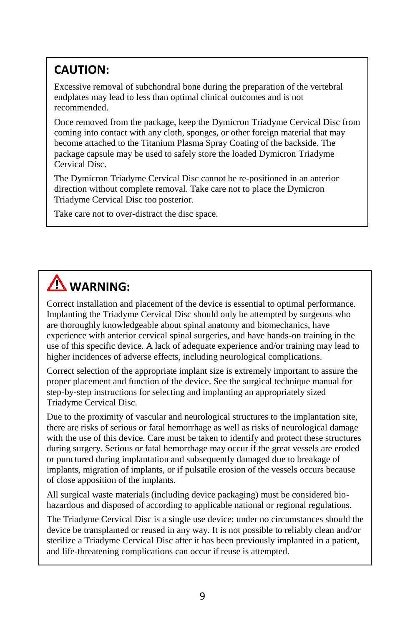# **CAUTION:**

Excessive removal of subchondral bone during the preparation of the vertebral endplates may lead to less than optimal clinical outcomes and is not recommended.

Once removed from the package, keep the Dymicron Triadyme Cervical Disc from coming into contact with any cloth, sponges, or other foreign material that may become attached to the Titanium Plasma Spray Coating of the backside. The package capsule may be used to safely store the loaded Dymicron Triadyme Cervical Disc.

The Dymicron Triadyme Cervical Disc cannot be re-positioned in an anterior direction without complete removal. Take care not to place the Dymicron Triadyme Cervical Disc too posterior.

Take care not to over-distract the disc space.

# **WARNING:**

Correct installation and placement of the device is essential to optimal performance. Implanting the Triadyme Cervical Disc should only be attempted by surgeons who are thoroughly knowledgeable about spinal anatomy and biomechanics, have experience with anterior cervical spinal surgeries, and have hands-on training in the use of this specific device. A lack of adequate experience and/or training may lead to higher incidences of adverse effects, including neurological complications.

Correct selection of the appropriate implant size is extremely important to assure the proper placement and function of the device. See the surgical technique manual for step-by-step instructions for selecting and implanting an appropriately sized Triadyme Cervical Disc.

Due to the proximity of vascular and neurological structures to the implantation site, there are risks of serious or fatal hemorrhage as well as risks of neurological damage with the use of this device. Care must be taken to identify and protect these structures during surgery. Serious or fatal hemorrhage may occur if the great vessels are eroded or punctured during implantation and subsequently damaged due to breakage of implants, migration of implants, or if pulsatile erosion of the vessels occurs because of close apposition of the implants.

All surgical waste materials (including device packaging) must be considered biohazardous and disposed of according to applicable national or regional regulations.

The Triadyme Cervical Disc is a single use device; under no circumstances should the device be transplanted or reused in any way. It is not possible to reliably clean and/or sterilize a Triadyme Cervical Disc after it has been previously implanted in a patient, and life-threatening complications can occur if reuse is attempted.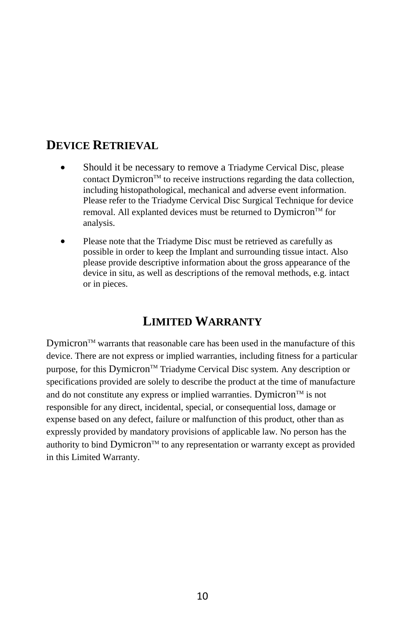#### **DEVICE RETRIEVAL**

- Should it be necessary to remove a Triadyme Cervical Disc, please contact  $D$ ymicron<sup>™</sup> to receive instructions regarding the data collection, including histopathological, mechanical and adverse event information. Please refer to the Triadyme Cervical Disc Surgical Technique for device removal. All explanted devices must be returned to Dymicron<sup>™</sup> for analysis.
- Please note that the Triadyme Disc must be retrieved as carefully as possible in order to keep the Implant and surrounding tissue intact. Also please provide descriptive information about the gross appearance of the device in situ, as well as descriptions of the removal methods, e.g. intact or in pieces.

#### **LIMITED WARRANTY**

 $D$ ymicron<sup> $TM$ </sup> warrants that reasonable care has been used in the manufacture of this device. There are not express or implied warranties, including fitness for a particular purpose, for this Dymicron<sup>™</sup> Triadyme Cervical Disc system. Any description or specifications provided are solely to describe the product at the time of manufacture and do not constitute any express or implied warranties. Dymicron<sup>™</sup> is not responsible for any direct, incidental, special, or consequential loss, damage or expense based on any defect, failure or malfunction of this product, other than as expressly provided by mandatory provisions of applicable law. No person has the authority to bind  $Dy$ micron<sup>™</sup> to any representation or warranty except as provided in this Limited Warranty.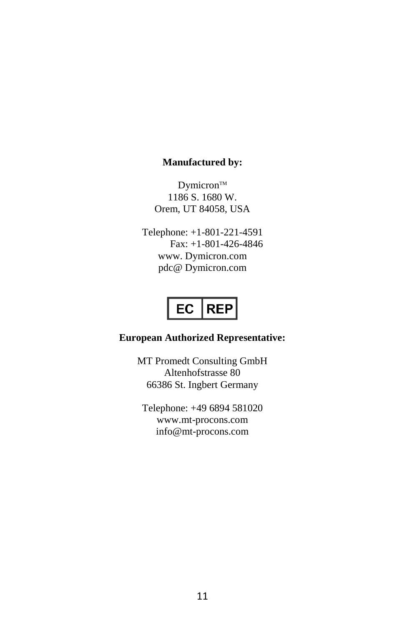#### **Manufactured by:**

Dymicron<sup>™</sup> 1186 S. 1680 W. Orem, UT 84058, USA

Telephone: +1-801-221-4591 Fax: +1-801-426-4846 www. Dymicron.com pdc@ Dymicron.com

# EC REP

#### **European Authorized Representative:**

MT Promedt Consulting GmbH Altenhofstrasse 80 66386 St. Ingbert Germany

Telephone: +49 6894 581020 www.mt-procons.com info@mt-procons.com